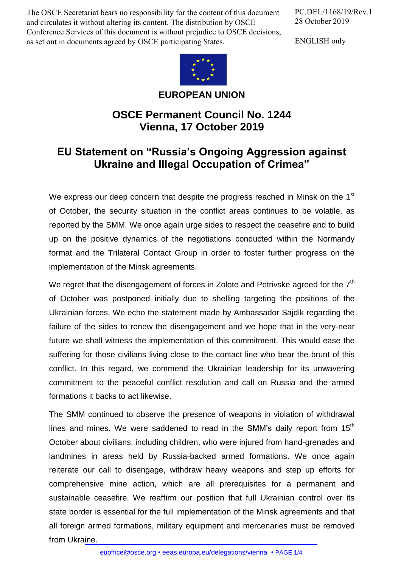The OSCE Secretariat bears no responsibility for the content of this document and circulates it without altering its content. The distribution by OSCE Conference Services of this document is without prejudice to OSCE decisions, as set out in documents agreed by OSCE participating States.

PC.DEL/1168/19/Rev.1 28 October 2019

ENGLISH only



**EUROPEAN UNION**

## **OSCE Permanent Council No. 1244 Vienna, 17 October 2019**

## **EU Statement on "Russia's Ongoing Aggression against Ukraine and Illegal Occupation of Crimea"**

We express our deep concern that despite the progress reached in Minsk on the 1<sup>st</sup> of October, the security situation in the conflict areas continues to be volatile, as reported by the SMM. We once again urge sides to respect the ceasefire and to build up on the positive dynamics of the negotiations conducted within the Normandy format and the Trilateral Contact Group in order to foster further progress on the implementation of the Minsk agreements.

We regret that the disengagement of forces in Zolote and Petrivske agreed for the  $7<sup>th</sup>$ of October was postponed initially due to shelling targeting the positions of the Ukrainian forces. We echo the statement made by Ambassador Sajdik regarding the failure of the sides to renew the disengagement and we hope that in the very-near future we shall witness the implementation of this commitment. This would ease the suffering for those civilians living close to the contact line who bear the brunt of this conflict. In this regard, we commend the Ukrainian leadership for its unwavering commitment to the peaceful conflict resolution and call on Russia and the armed formations it backs to act likewise.

The SMM continued to observe the presence of weapons in violation of withdrawal lines and mines. We were saddened to read in the SMM's daily report from  $15<sup>th</sup>$ October about civilians, including children, who were injured from hand-grenades and landmines in areas held by Russia-backed armed formations. We once again reiterate our call to disengage, withdraw heavy weapons and step up efforts for comprehensive mine action, which are all prerequisites for a permanent and sustainable ceasefire. We reaffirm our position that full Ukrainian control over its state border is essential for the full implementation of the Minsk agreements and that all foreign armed [formations,](mailto:euoffice@osce.org) military [equipment](http://eeas.europa.eu/delegations/vienna) and mercenaries must be removed from Ukraine.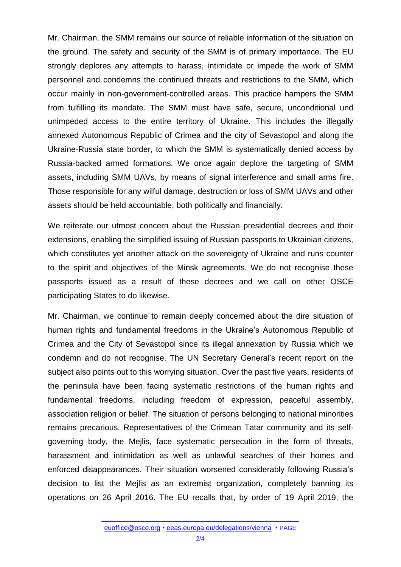Mr. Chairman, the SMM remains our source of reliable information of the situation on the ground. The safety and security of the SMM is of primary importance. The EU strongly deplores any attempts to harass, intimidate or impede the work of SMM personnel and condemns the continued threats and restrictions to the SMM, which occur mainly in non-government-controlled areas. This practice hampers the SMM from fulfilling its mandate. The SMM must have safe, secure, unconditional und unimpeded access to the entire territory of Ukraine. This includes the illegally annexed Autonomous Republic of Crimea and the city of Sevastopol and along the Ukraine-Russia state border, to which the SMM is systematically denied access by Russia-backed armed formations. We once again deplore the targeting of SMM assets, including SMM UAVs, by means of signal interference and small arms fire. Those responsible for any wilful damage, destruction or loss of SMM UAVs and other assets should be held accountable, both politically and financially.

We reiterate our utmost concern about the Russian presidential decrees and their extensions, enabling the simplified issuing of Russian passports to Ukrainian citizens, which constitutes yet another attack on the sovereignty of Ukraine and runs counter to the spirit and objectives of the Minsk agreements. We do not recognise these passports issued as a result of these decrees and we call on other OSCE participating States to do likewise.

Mr. Chairman, we continue to remain deeply concerned about the dire situation of human rights and fundamental freedoms in the Ukraine's Autonomous Republic of Crimea and the City of Sevastopol since its illegal annexation by Russia which we condemn and do not recognise. The UN Secretary General's recent report on the subject also points out to this worrying situation. Over the past five years, residents of the peninsula have been facing systematic restrictions of the human rights and fundamental freedoms, including freedom of expression, peaceful assembly, association religion or belief. The situation of persons belonging to national minorities remains precarious. Representatives of the Crimean Tatar community and its selfgoverning body, the Mejlis, face systematic persecution in the form of threats, harassment and intimidation as well as unlawful searches of their homes and enforced disappearances. Their situation worsened considerably following Russia's decision to list the Mejlis as an extremist organization, completely banning its operations on 26 April 2016. The EU recalls that, by order of 19 April 2019, the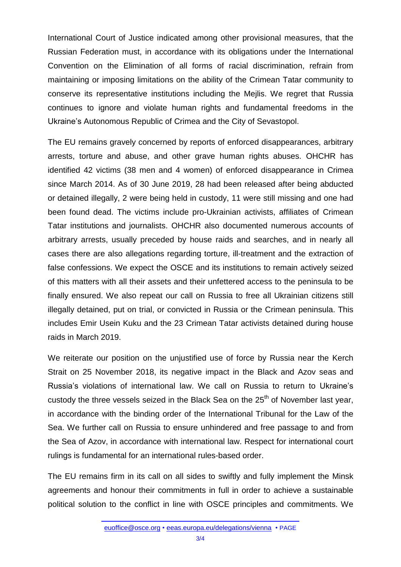International Court of Justice indicated among other provisional measures, that the Russian Federation must, in accordance with its obligations under the International Convention on the Elimination of all forms of racial discrimination, refrain from maintaining or imposing limitations on the ability of the Crimean Tatar community to conserve its representative institutions including the Mejlis. We regret that Russia continues to ignore and violate human rights and fundamental freedoms in the Ukraine's Autonomous Republic of Crimea and the City of Sevastopol.

The EU remains gravely concerned by reports of enforced disappearances, arbitrary arrests, torture and abuse, and other grave human rights abuses. OHCHR has identified 42 victims (38 men and 4 women) of enforced disappearance in Crimea since March 2014. As of 30 June 2019, 28 had been released after being abducted or detained illegally, 2 were being held in custody, 11 were still missing and one had been found dead. The victims include pro-Ukrainian activists, affiliates of Crimean Tatar institutions and journalists. OHCHR also documented numerous accounts of arbitrary arrests, usually preceded by house raids and searches, and in nearly all cases there are also allegations regarding torture, ill-treatment and the extraction of false confessions. We expect the OSCE and its institutions to remain actively seized of this matters with all their assets and their unfettered access to the peninsula to be finally ensured. We also repeat our call on Russia to free all Ukrainian citizens still illegally detained, put on trial, or convicted in Russia or the Crimean peninsula. This includes Emir Usein Kuku and the 23 Crimean Tatar activists detained during house raids in March 2019.

We reiterate our position on the unjustified use of force by Russia near the Kerch Strait on 25 November 2018, its negative impact in the Black and Azov seas and Russia's violations of international law. We call on Russia to return to Ukraine's custody the three vessels seized in the Black Sea on the 25<sup>th</sup> of November last year, in accordance with the binding order of the International Tribunal for the Law of the Sea. We further call on Russia to ensure unhindered and free passage to and from the Sea of Azov, in accordance with international law. Respect for international court rulings is fundamental for an international rules-based order.

The EU remains firm in its call on all sides to swiftly and fully implement the Minsk agreements and honour their commitments in full in order to achieve a sustainable political solution to the conflict in line with OSCE principles and commitments. We